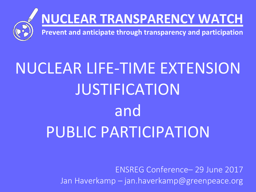

# **NUCLEAR TRANSPARENCY WATCH**

**Prevent and anticipate through transparency and participation**

# NUCLEAR LIFE-TIME EXTENSION JUSTIFICATION and PUBLIC PARTICIPATION

ENSREG Conference– 29 June 2017 Jan Haverkamp – jan.haverkamp@greenpeace.org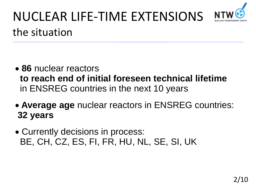

### NUCLEAR LIFE-TIME EXTENSIONS the situation

- **86** nuclear reactors **to reach end of initial foreseen technical lifetime** in ENSREG countries in the next 10 years
- **Average age** nuclear reactors in ENSREG countries: **32 years**
- Currently decisions in process: BE, CH, CZ, ES, FI, FR, HU, NL, SE, SI, UK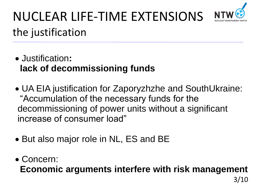

### NUCLEAR LIFE-TIME EXTENSIONS the justification

- Justification**: lack of decommissioning funds**
- UA EIA justification for Zaporyzhzhe and SouthUkraine: "Accumulation of the necessary funds for the decommissioning of power units without a significant increase of consumer load"
- But also major role in NL, ES and BE
- Concern: **Economic arguments interfere with risk management**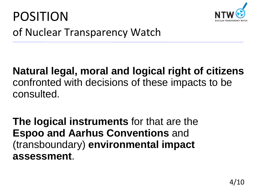



#### **Natural legal, moral and logical right of citizens**  confronted with decisions of these impacts to be consulted.

**The logical instruments** for that are the **Espoo and Aarhus Conventions** and (transboundary) **environmental impact assessment**.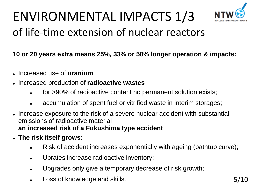

### ENVIRONMENTAL IMPACTS 1/3 of life-time extension of nuclear reactors

#### **10 or 20 years extra means 25%, 33% or 50% longer operation & impacts:**

- Increased use of **uranium**;
- Increased production of **radioactive wastes**
	- for >90% of radioactive content no permanent solution exists;
	- accumulation of spent fuel or vitrified waste in interim storages;
- Increase exposure to the risk of a severe nuclear accident with substantial emissions of radioactive material **an increased risk of a Fukushima type accident**;
- **The risk itself grows**:
	- Risk of accident increases exponentially with ageing (bathtub curve);
	- Uprates increase radioactive inventory;
	- Upgrades only give a temporary decrease of risk growth;
	- Loss of knowledge and skills. The state of the state of the state of the state of the state of the state of the state of the state of the state of the state of the state of the state of the state of the state of the state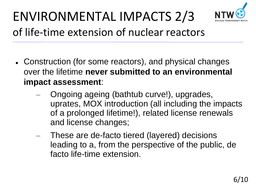

#### ENVIRONMENTAL IMPACTS 2/3 of life-time extension of nuclear reactors

- Construction (for some reactors), and physical changes over the lifetime **never submitted to an environmental impact assessment**:
	- Ongoing ageing (bathtub curve!), upgrades, uprates, MOX introduction (all including the impacts of a prolonged lifetime!), related license renewals and license changes;
	- These are de-facto tiered (layered) decisions leading to a, from the perspective of the public, de facto life-time extension.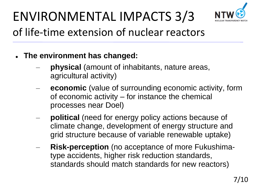

# ENVIRONMENTAL IMPACTS 3/3

#### of life-time extension of nuclear reactors

- **The environment has changed:**
	- **physical** (amount of inhabitants, nature areas, agricultural activity)
	- **economic** (value of surrounding economic activity, form of economic activity – for instance the chemical processes near Doel)
	- **political** (need for energy policy actions because of climate change, development of energy structure and grid structure because of variable renewable uptake)
	- **Risk-perception** (no acceptance of more Fukushimatype accidents, higher risk reduction standards, standards should match standards for new reactors)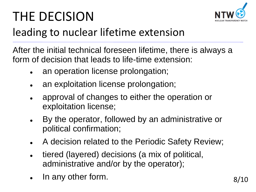# THE DECISION



#### leading to nuclear lifetime extension

After the initial technical foreseen lifetime, there is always a form of decision that leads to life-time extension:

- an operation license prolongation;
- an exploitation license prolongation;
- approval of changes to either the operation or exploitation license;
- By the operator, followed by an administrative or political confirmation;
- A decision related to the Periodic Safety Review;
- tiered (layered) decisions (a mix of political, administrative and/or by the operator);
- In any other form.  $8/10$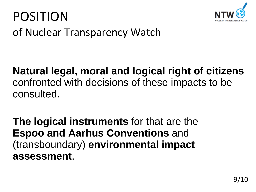



#### **Natural legal, moral and logical right of citizens**  confronted with decisions of these impacts to be consulted.

**The logical instruments** for that are the **Espoo and Aarhus Conventions** and (transboundary) **environmental impact assessment**.